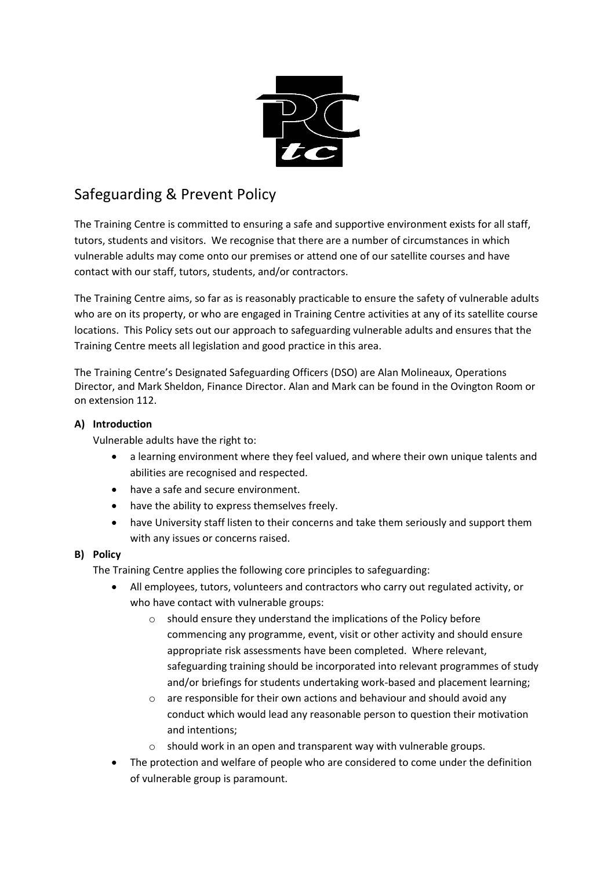

# Safeguarding & Prevent Policy

The Training Centre is committed to ensuring a safe and supportive environment exists for all staff, tutors, students and visitors. We recognise that there are a number of circumstances in which vulnerable adults may come onto our premises or attend one of our satellite courses and have contact with our staff, tutors, students, and/or contractors.

The Training Centre aims, so far as is reasonably practicable to ensure the safety of vulnerable adults who are on its property, or who are engaged in Training Centre activities at any of its satellite course locations. This Policy sets out our approach to safeguarding vulnerable adults and ensures that the Training Centre meets all legislation and good practice in this area.

The Training Centre's Designated Safeguarding Officers (DSO) are Alan Molineaux, Operations Director, and Mark Sheldon, Finance Director. Alan and Mark can be found in the Ovington Room or on extension 112.

# **A) Introduction**

Vulnerable adults have the right to:

- a learning environment where they feel valued, and where their own unique talents and abilities are recognised and respected.
- have a safe and secure environment.
- have the ability to express themselves freely.
- have University staff listen to their concerns and take them seriously and support them with any issues or concerns raised.

## **B) Policy**

The Training Centre applies the following core principles to safeguarding:

- All employees, tutors, volunteers and contractors who carry out regulated activity, or who have contact with vulnerable groups:
	- o should ensure they understand the implications of the Policy before commencing any programme, event, visit or other activity and should ensure appropriate risk assessments have been completed. Where relevant, safeguarding training should be incorporated into relevant programmes of study and/or briefings for students undertaking work-based and placement learning;
	- o are responsible for their own actions and behaviour and should avoid any conduct which would lead any reasonable person to question their motivation and intentions;
	- o should work in an open and transparent way with vulnerable groups.
- The protection and welfare of people who are considered to come under the definition of vulnerable group is paramount.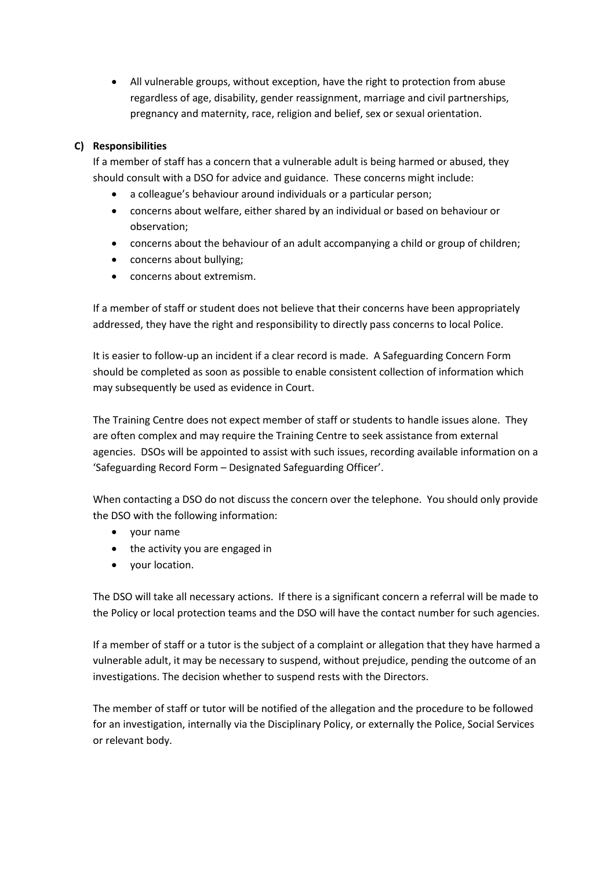• All vulnerable groups, without exception, have the right to protection from abuse regardless of age, disability, gender reassignment, marriage and civil partnerships, pregnancy and maternity, race, religion and belief, sex or sexual orientation.

## **C) Responsibilities**

If a member of staff has a concern that a vulnerable adult is being harmed or abused, they should consult with a DSO for advice and guidance. These concerns might include:

- a colleague's behaviour around individuals or a particular person;
- concerns about welfare, either shared by an individual or based on behaviour or observation;
- concerns about the behaviour of an adult accompanying a child or group of children;
- concerns about bullying;
- concerns about extremism.

If a member of staff or student does not believe that their concerns have been appropriately addressed, they have the right and responsibility to directly pass concerns to local Police.

It is easier to follow-up an incident if a clear record is made. A Safeguarding Concern Form should be completed as soon as possible to enable consistent collection of information which may subsequently be used as evidence in Court.

The Training Centre does not expect member of staff or students to handle issues alone. They are often complex and may require the Training Centre to seek assistance from external agencies. DSOs will be appointed to assist with such issues, recording available information on a 'Safeguarding Record Form – Designated Safeguarding Officer'.

When contacting a DSO do not discuss the concern over the telephone. You should only provide the DSO with the following information:

- your name
- the activity you are engaged in
- your location.

The DSO will take all necessary actions. If there is a significant concern a referral will be made to the Policy or local protection teams and the DSO will have the contact number for such agencies.

If a member of staff or a tutor is the subject of a complaint or allegation that they have harmed a vulnerable adult, it may be necessary to suspend, without prejudice, pending the outcome of an investigations. The decision whether to suspend rests with the Directors.

The member of staff or tutor will be notified of the allegation and the procedure to be followed for an investigation, internally via the Disciplinary Policy, or externally the Police, Social Services or relevant body.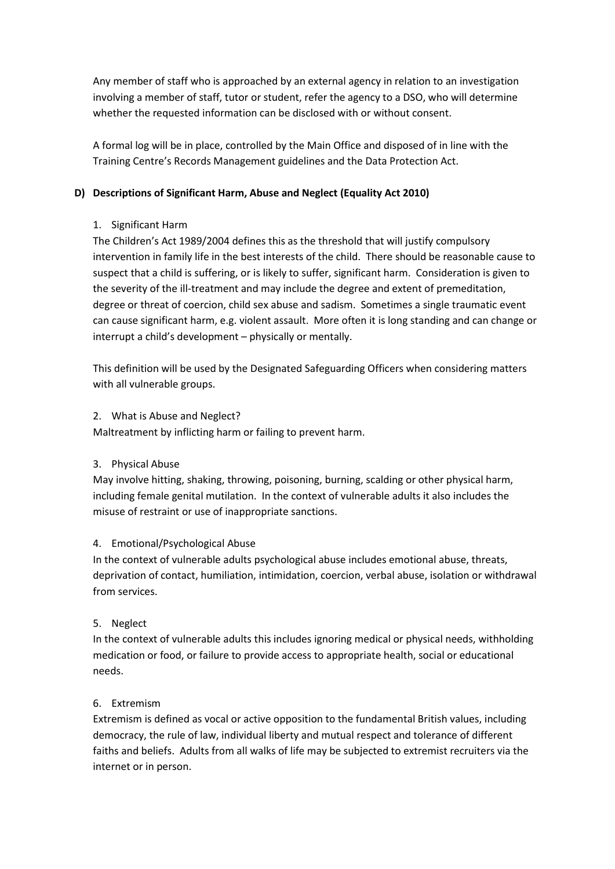Any member of staff who is approached by an external agency in relation to an investigation involving a member of staff, tutor or student, refer the agency to a DSO, who will determine whether the requested information can be disclosed with or without consent.

A formal log will be in place, controlled by the Main Office and disposed of in line with the Training Centre's Records Management guidelines and the Data Protection Act.

## **D) Descriptions of Significant Harm, Abuse and Neglect (Equality Act 2010)**

# 1. Significant Harm

The Children's Act 1989/2004 defines this as the threshold that will justify compulsory intervention in family life in the best interests of the child. There should be reasonable cause to suspect that a child is suffering, or is likely to suffer, significant harm. Consideration is given to the severity of the ill-treatment and may include the degree and extent of premeditation, degree or threat of coercion, child sex abuse and sadism. Sometimes a single traumatic event can cause significant harm, e.g. violent assault. More often it is long standing and can change or interrupt a child's development – physically or mentally.

This definition will be used by the Designated Safeguarding Officers when considering matters with all vulnerable groups.

## 2. What is Abuse and Neglect?

Maltreatment by inflicting harm or failing to prevent harm.

## 3. Physical Abuse

May involve hitting, shaking, throwing, poisoning, burning, scalding or other physical harm, including female genital mutilation. In the context of vulnerable adults it also includes the misuse of restraint or use of inappropriate sanctions.

## 4. Emotional/Psychological Abuse

In the context of vulnerable adults psychological abuse includes emotional abuse, threats, deprivation of contact, humiliation, intimidation, coercion, verbal abuse, isolation or withdrawal from services.

## 5. Neglect

In the context of vulnerable adults this includes ignoring medical or physical needs, withholding medication or food, or failure to provide access to appropriate health, social or educational needs.

## 6. Extremism

Extremism is defined as vocal or active opposition to the fundamental British values, including democracy, the rule of law, individual liberty and mutual respect and tolerance of different faiths and beliefs. Adults from all walks of life may be subjected to extremist recruiters via the internet or in person.